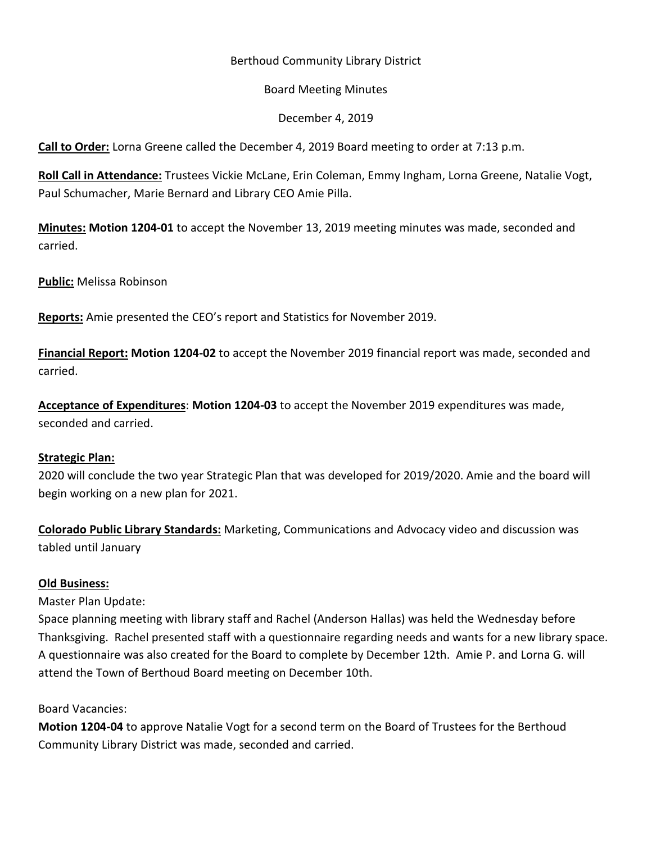## Berthoud Community Library District

### Board Meeting Minutes

#### December 4, 2019

**Call to Order:** Lorna Greene called the December 4, 2019 Board meeting to order at 7:13 p.m.

**Roll Call in Attendance:** Trustees Vickie McLane, Erin Coleman, Emmy Ingham, Lorna Greene, Natalie Vogt, Paul Schumacher, Marie Bernard and Library CEO Amie Pilla.

**Minutes: Motion 1204-01** to accept the November 13, 2019 meeting minutes was made, seconded and carried.

**Public:** Melissa Robinson

**Reports:** Amie presented the CEO's report and Statistics for November 2019.

**Financial Report: Motion 1204-02** to accept the November 2019 financial report was made, seconded and carried.

**Acceptance of Expenditures**: **Motion 1204-03** to accept the November 2019 expenditures was made, seconded and carried.

### **Strategic Plan:**

2020 will conclude the two year Strategic Plan that was developed for 2019/2020. Amie and the board will begin working on a new plan for 2021.

**Colorado Public Library Standards:** Marketing, Communications and Advocacy video and discussion was tabled until January

### **Old Business:**

Master Plan Update:

Space planning meeting with library staff and Rachel (Anderson Hallas) was held the Wednesday before Thanksgiving. Rachel presented staff with a questionnaire regarding needs and wants for a new library space. A questionnaire was also created for the Board to complete by December 12th. Amie P. and Lorna G. will attend the Town of Berthoud Board meeting on December 10th.

### Board Vacancies:

**Motion 1204-04** to approve Natalie Vogt for a second term on the Board of Trustees for the Berthoud Community Library District was made, seconded and carried.